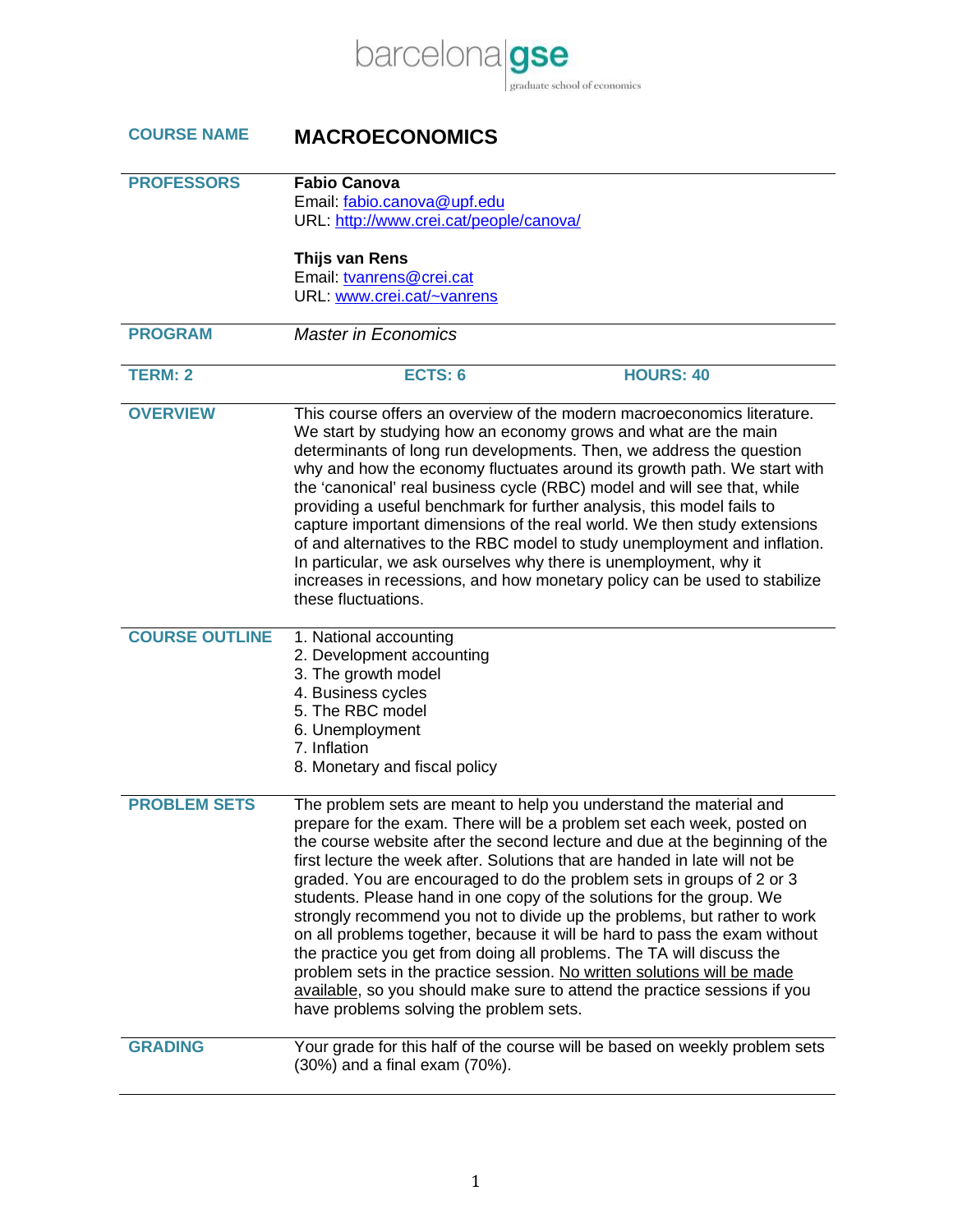

## **COURSE NAME MACROECONOMICS**

| <b>PROFESSORS</b>     | <b>Fabio Canova</b>                                                                                                                                                                                                                                                                                                                                                                                                                                                                                                                                                                                                                                                                                                                                                                                                                                                                               |
|-----------------------|---------------------------------------------------------------------------------------------------------------------------------------------------------------------------------------------------------------------------------------------------------------------------------------------------------------------------------------------------------------------------------------------------------------------------------------------------------------------------------------------------------------------------------------------------------------------------------------------------------------------------------------------------------------------------------------------------------------------------------------------------------------------------------------------------------------------------------------------------------------------------------------------------|
|                       | Email: fabio.canova@upf.edu                                                                                                                                                                                                                                                                                                                                                                                                                                                                                                                                                                                                                                                                                                                                                                                                                                                                       |
|                       | URL: http://www.crei.cat/people/canova/                                                                                                                                                                                                                                                                                                                                                                                                                                                                                                                                                                                                                                                                                                                                                                                                                                                           |
|                       |                                                                                                                                                                                                                                                                                                                                                                                                                                                                                                                                                                                                                                                                                                                                                                                                                                                                                                   |
|                       | Thijs van Rens                                                                                                                                                                                                                                                                                                                                                                                                                                                                                                                                                                                                                                                                                                                                                                                                                                                                                    |
|                       | Email: tvanrens@crei.cat                                                                                                                                                                                                                                                                                                                                                                                                                                                                                                                                                                                                                                                                                                                                                                                                                                                                          |
|                       | URL: www.crei.cat/~vanrens                                                                                                                                                                                                                                                                                                                                                                                                                                                                                                                                                                                                                                                                                                                                                                                                                                                                        |
| <b>PROGRAM</b>        | <b>Master in Economics</b>                                                                                                                                                                                                                                                                                                                                                                                                                                                                                                                                                                                                                                                                                                                                                                                                                                                                        |
|                       |                                                                                                                                                                                                                                                                                                                                                                                                                                                                                                                                                                                                                                                                                                                                                                                                                                                                                                   |
| <b>TERM: 2</b>        | <b>HOURS: 40</b><br>ECTS: 6                                                                                                                                                                                                                                                                                                                                                                                                                                                                                                                                                                                                                                                                                                                                                                                                                                                                       |
|                       |                                                                                                                                                                                                                                                                                                                                                                                                                                                                                                                                                                                                                                                                                                                                                                                                                                                                                                   |
| <b>OVERVIEW</b>       | This course offers an overview of the modern macroeconomics literature.<br>We start by studying how an economy grows and what are the main<br>determinants of long run developments. Then, we address the question<br>why and how the economy fluctuates around its growth path. We start with<br>the 'canonical' real business cycle (RBC) model and will see that, while<br>providing a useful benchmark for further analysis, this model fails to<br>capture important dimensions of the real world. We then study extensions<br>of and alternatives to the RBC model to study unemployment and inflation.<br>In particular, we ask ourselves why there is unemployment, why it<br>increases in recessions, and how monetary policy can be used to stabilize<br>these fluctuations.                                                                                                            |
| <b>COURSE OUTLINE</b> | 1. National accounting<br>2. Development accounting<br>3. The growth model<br>4. Business cycles<br>5. The RBC model<br>6. Unemployment<br>7. Inflation<br>8. Monetary and fiscal policy                                                                                                                                                                                                                                                                                                                                                                                                                                                                                                                                                                                                                                                                                                          |
| <b>PROBLEM SETS</b>   | The problem sets are meant to help you understand the material and<br>prepare for the exam. There will be a problem set each week, posted on<br>the course website after the second lecture and due at the beginning of the<br>first lecture the week after. Solutions that are handed in late will not be<br>graded. You are encouraged to do the problem sets in groups of 2 or 3<br>students. Please hand in one copy of the solutions for the group. We<br>strongly recommend you not to divide up the problems, but rather to work<br>on all problems together, because it will be hard to pass the exam without<br>the practice you get from doing all problems. The TA will discuss the<br>problem sets in the practice session. No written solutions will be made<br>available, so you should make sure to attend the practice sessions if you<br>have problems solving the problem sets. |
| <b>GRADING</b>        | Your grade for this half of the course will be based on weekly problem sets<br>(30%) and a final exam (70%).                                                                                                                                                                                                                                                                                                                                                                                                                                                                                                                                                                                                                                                                                                                                                                                      |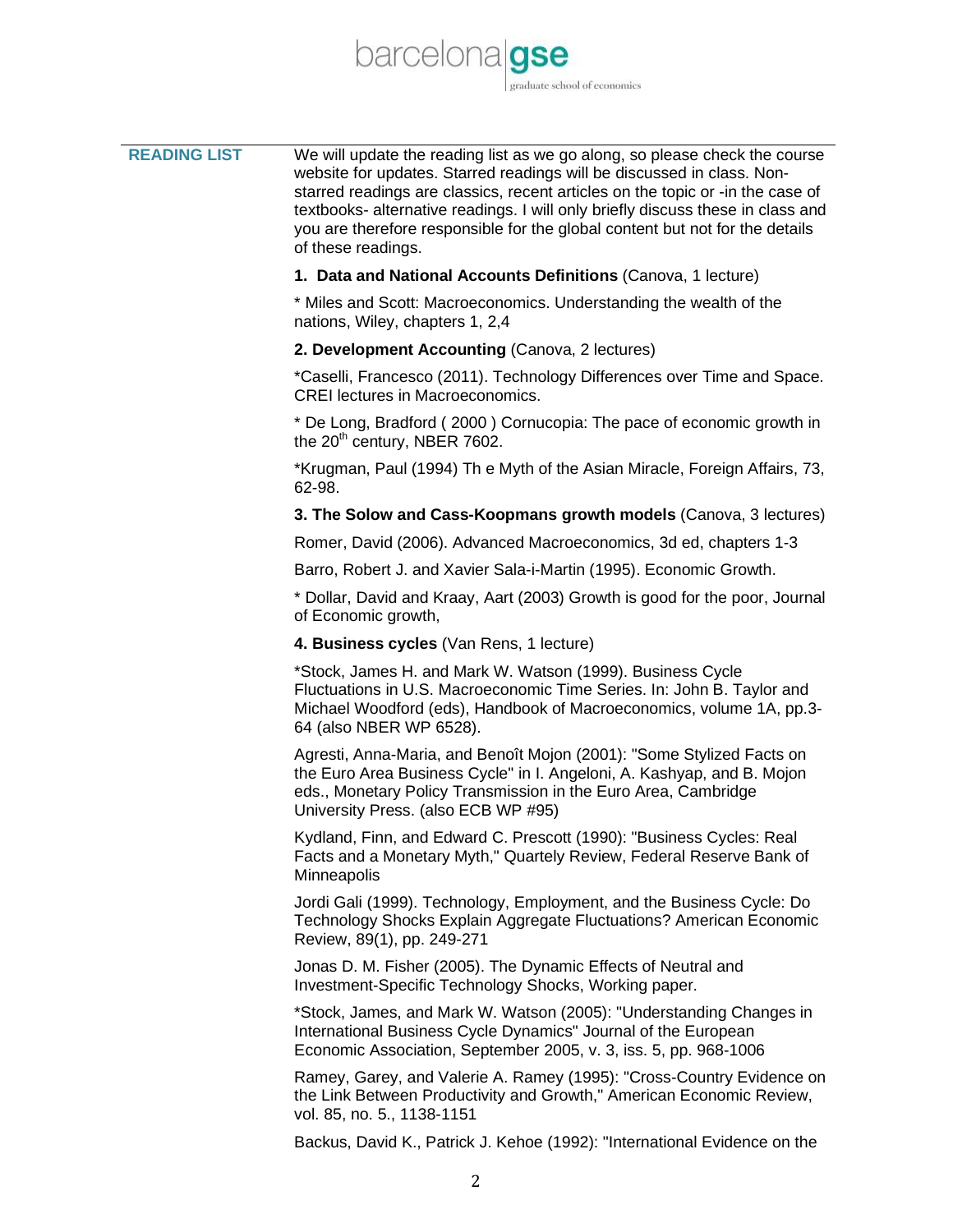

| <b>READING LIST</b> | We will update the reading list as we go along, so please check the course<br>website for updates. Starred readings will be discussed in class. Non-<br>starred readings are classics, recent articles on the topic or -in the case of<br>textbooks- alternative readings. I will only briefly discuss these in class and<br>you are therefore responsible for the global content but not for the details<br>of these readings. |
|---------------------|---------------------------------------------------------------------------------------------------------------------------------------------------------------------------------------------------------------------------------------------------------------------------------------------------------------------------------------------------------------------------------------------------------------------------------|
|                     | 1. Data and National Accounts Definitions (Canova, 1 lecture)                                                                                                                                                                                                                                                                                                                                                                   |
|                     | * Miles and Scott: Macroeconomics. Understanding the wealth of the<br>nations, Wiley, chapters 1, 2,4                                                                                                                                                                                                                                                                                                                           |
|                     | 2. Development Accounting (Canova, 2 lectures)                                                                                                                                                                                                                                                                                                                                                                                  |
|                     | *Caselli, Francesco (2011). Technology Differences over Time and Space.<br><b>CREI</b> lectures in Macroeconomics.                                                                                                                                                                                                                                                                                                              |
|                     | * De Long, Bradford (2000) Cornucopia: The pace of economic growth in<br>the 20 <sup>th</sup> century, NBER 7602.                                                                                                                                                                                                                                                                                                               |
|                     | *Krugman, Paul (1994) Th e Myth of the Asian Miracle, Foreign Affairs, 73,<br>62-98.                                                                                                                                                                                                                                                                                                                                            |
|                     | 3. The Solow and Cass-Koopmans growth models (Canova, 3 lectures)                                                                                                                                                                                                                                                                                                                                                               |
|                     | Romer, David (2006). Advanced Macroeconomics, 3d ed, chapters 1-3                                                                                                                                                                                                                                                                                                                                                               |
|                     | Barro, Robert J. and Xavier Sala-i-Martin (1995). Economic Growth.                                                                                                                                                                                                                                                                                                                                                              |
|                     | * Dollar, David and Kraay, Aart (2003) Growth is good for the poor, Journal<br>of Economic growth,                                                                                                                                                                                                                                                                                                                              |
|                     | 4. Business cycles (Van Rens, 1 lecture)                                                                                                                                                                                                                                                                                                                                                                                        |
|                     | *Stock, James H. and Mark W. Watson (1999). Business Cycle<br>Fluctuations in U.S. Macroeconomic Time Series. In: John B. Taylor and<br>Michael Woodford (eds), Handbook of Macroeconomics, volume 1A, pp.3-<br>64 (also NBER WP 6528).                                                                                                                                                                                         |
|                     | Agresti, Anna-Maria, and Benoît Mojon (2001): "Some Stylized Facts on<br>the Euro Area Business Cycle" in I. Angeloni, A. Kashyap, and B. Mojon<br>eds., Monetary Policy Transmission in the Euro Area, Cambridge<br>University Press. (also ECB WP #95)                                                                                                                                                                        |
|                     | Kydland, Finn, and Edward C. Prescott (1990): "Business Cycles: Real<br>Facts and a Monetary Myth," Quartely Review, Federal Reserve Bank of<br>Minneapolis                                                                                                                                                                                                                                                                     |
|                     | Jordi Gali (1999). Technology, Employment, and the Business Cycle: Do<br>Technology Shocks Explain Aggregate Fluctuations? American Economic<br>Review, 89(1), pp. 249-271                                                                                                                                                                                                                                                      |
|                     | Jonas D. M. Fisher (2005). The Dynamic Effects of Neutral and<br>Investment-Specific Technology Shocks, Working paper.                                                                                                                                                                                                                                                                                                          |
|                     | *Stock, James, and Mark W. Watson (2005): "Understanding Changes in<br>International Business Cycle Dynamics" Journal of the European<br>Economic Association, September 2005, v. 3, iss. 5, pp. 968-1006                                                                                                                                                                                                                       |

Ramey, Garey, and Valerie A. Ramey (1995): "Cross-Country Evidence on the Link Between Productivity and Growth," American Economic Review, vol. 85, no. 5., 1138-1151

Backus, David K., Patrick J. Kehoe (1992): "International Evidence on the